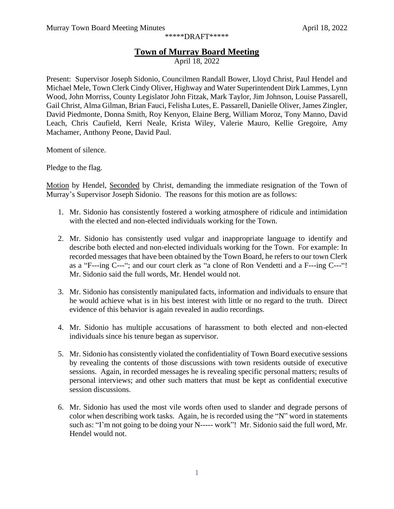\*\*\*\*\*DRAFT\*\*\*\*\*

## **Town of Murray Board Meeting**

April 18, 2022

Present: Supervisor Joseph Sidonio, Councilmen Randall Bower, Lloyd Christ, Paul Hendel and Michael Mele, Town Clerk Cindy Oliver, Highway and Water Superintendent Dirk Lammes, Lynn Wood, John Morriss, County Legislator John Fitzak, Mark Taylor, Jim Johnson, Louise Passarell, Gail Christ, Alma Gilman, Brian Fauci, Felisha Lutes, E. Passarell, Danielle Oliver, James Zingler, David Piedmonte, Donna Smith, Roy Kenyon, Elaine Berg, William Moroz, Tony Manno, David Leach, Chris Caufield, Kerri Neale, Krista Wiley, Valerie Mauro, Kellie Gregoire, Amy Machamer, Anthony Peone, David Paul.

Moment of silence.

Pledge to the flag.

Motion by Hendel, Seconded by Christ, demanding the immediate resignation of the Town of Murray's Supervisor Joseph Sidonio. The reasons for this motion are as follows:

- 1. Mr. Sidonio has consistently fostered a working atmosphere of ridicule and intimidation with the elected and non-elected individuals working for the Town.
- 2. Mr. Sidonio has consistently used vulgar and inappropriate language to identify and describe both elected and non-elected individuals working for the Town. For example: In recorded messages that have been obtained by the Town Board, he refers to our town Clerk as a "F---ing C---"; and our court clerk as "a clone of Ron Vendetti and a F---ing C---"! Mr. Sidonio said the full words, Mr. Hendel would not.
- 3. Mr. Sidonio has consistently manipulated facts, information and individuals to ensure that he would achieve what is in his best interest with little or no regard to the truth. Direct evidence of this behavior is again revealed in audio recordings.
- 4. Mr. Sidonio has multiple accusations of harassment to both elected and non-elected individuals since his tenure began as supervisor.
- 5. Mr. Sidonio has consistently violated the confidentiality of Town Board executive sessions by revealing the contents of those discussions with town residents outside of executive sessions. Again, in recorded messages he is revealing specific personal matters; results of personal interviews; and other such matters that must be kept as confidential executive session discussions.
- 6. Mr. Sidonio has used the most vile words often used to slander and degrade persons of color when describing work tasks. Again, he is recorded using the "N" word in statements such as: "I'm not going to be doing your N----- work"! Mr. Sidonio said the full word, Mr. Hendel would not.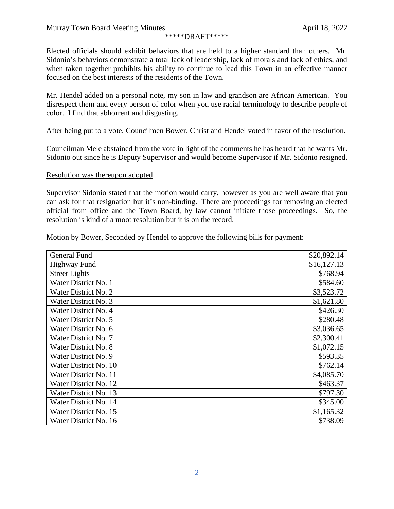## \*\*\*\*\*DRAFT\*\*\*\*\*

Elected officials should exhibit behaviors that are held to a higher standard than others. Mr. Sidonio's behaviors demonstrate a total lack of leadership, lack of morals and lack of ethics, and when taken together prohibits his ability to continue to lead this Town in an effective manner focused on the best interests of the residents of the Town.

Mr. Hendel added on a personal note, my son in law and grandson are African American. You disrespect them and every person of color when you use racial terminology to describe people of color. I find that abhorrent and disgusting.

After being put to a vote, Councilmen Bower, Christ and Hendel voted in favor of the resolution.

Councilman Mele abstained from the vote in light of the comments he has heard that he wants Mr. Sidonio out since he is Deputy Supervisor and would become Supervisor if Mr. Sidonio resigned.

## Resolution was thereupon adopted.

Supervisor Sidonio stated that the motion would carry, however as you are well aware that you can ask for that resignation but it's non-binding. There are proceedings for removing an elected official from office and the Town Board, by law cannot initiate those proceedings. So, the resolution is kind of a moot resolution but it is on the record.

Motion by Bower, Seconded by Hendel to approve the following bills for payment:

| General Fund          | \$20,892.14 |
|-----------------------|-------------|
| Highway Fund          | \$16,127.13 |
| <b>Street Lights</b>  | \$768.94    |
| Water District No. 1  | \$584.60    |
| Water District No. 2  | \$3,523.72  |
| Water District No. 3  | \$1,621.80  |
| Water District No. 4  | \$426.30    |
| Water District No. 5  | \$280.48    |
| Water District No. 6  | \$3,036.65  |
| Water District No. 7  | \$2,300.41  |
| Water District No. 8  | \$1,072.15  |
| Water District No. 9  | \$593.35    |
| Water District No. 10 | \$762.14    |
| Water District No. 11 | \$4,085.70  |
| Water District No. 12 | \$463.37    |
| Water District No. 13 | \$797.30    |
| Water District No. 14 | \$345.00    |
| Water District No. 15 | \$1,165.32  |
| Water District No. 16 | \$738.09    |